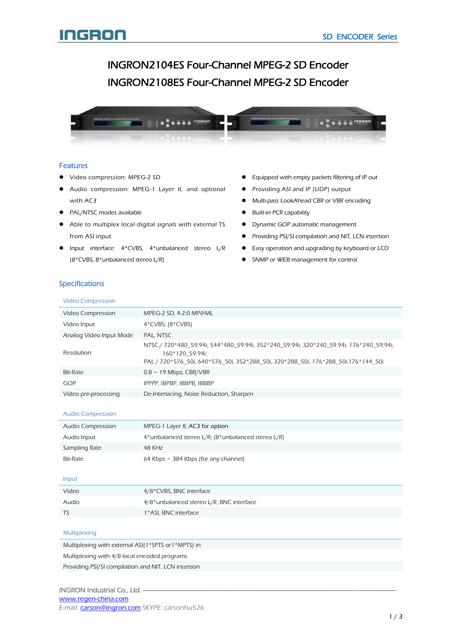# INGRON2104ES Four-Channel MPEG-2 SD Encoder INGRON2108ES Four-Channel MPEG-2 SD Encoder Ī



### Features

- Video compression: MPEG-2 SD
- Audio compression: MPEG-1 Layer II, and optional with AC3
- PAL/NTSC modes available
- Able to multiplex local digital signals with external TS from ASI input
- Input interface: 4\*CVBS, 4\*unbalanced stereo L/R (8\*CVBS, 8\*unbalanced stereo L/R)
- Equipped with empty packets filtering of IP out
- **•** Providing ASI and IP (UDP) output
- Multi-pass LookAhead CBR or VBR encoding
- **•** Built-in PCR capability
- **•** Dynamic GOP automatic management
- **•** Providing PSI/SI compilation and NIT, LCN insertion
- Easy operation and upgrading by keyboard or LCD
- **•** SNMP or WEB management for control

# **Specifications**

|  | <b>Video Compression</b> |
|--|--------------------------|
|  |                          |

| Video Compression       | MPEG-2 SD, 4:2:0 MP@ML                                                                                                                                                                          |
|-------------------------|-------------------------------------------------------------------------------------------------------------------------------------------------------------------------------------------------|
| Video Input             | $4*CVBS$ ; $(8*CVBS)$                                                                                                                                                                           |
| Analog Video Input Mode | PAL. NTSC                                                                                                                                                                                       |
| <b>Resolution</b>       | NTSC / 720*480_59.94i, 544*480_59.94i, 352*240_59.94i, 320*240_59.94i, 176*240_59.94i,<br>160*120 59.94i;<br>PAL / 720*576_50i, 640*576_50i, 352*288_50i, 320*288_50i, 176*288_50i, 176*144_50i |
| Bit-Rate                | $0.8 \sim 19$ Mbps, CBR/VBR                                                                                                                                                                     |
| GOP                     | IPPPP, IBPBP, IBBPB, IBBBP                                                                                                                                                                      |
| Video pre-processing    | De-Interlacing, Noise Reduction, Sharpen                                                                                                                                                        |
|                         |                                                                                                                                                                                                 |

#### Audio Compression

| Audio Compression | MPEG-1 Layer II; AC3 for option                       |
|-------------------|-------------------------------------------------------|
| Audio Input       | $4*$ unbalanced stereo L/R; (8*unbalanced stereo L/R) |
| Sampling Rate     | 48 KHz                                                |
| Bit-Rate          | 64 Kbps $\sim$ 384 Kbps (for any channel)             |

#### Input

| Video | 4/8*CVBS, BNC interface                  |
|-------|------------------------------------------|
| Audio | 4/8*unbalanced stereo L/R, BNC interface |
| TS    | 1*ASI, BNC interface                     |
|       |                                          |

### Multiplexing

| Multiplexing with external ASI(1*SPTS or 1*MPTS) in |
|-----------------------------------------------------|
| Multiplexing with 4/8 local encoded programs        |
| Providing PSI/SI compilation and NIT, LCN insertion |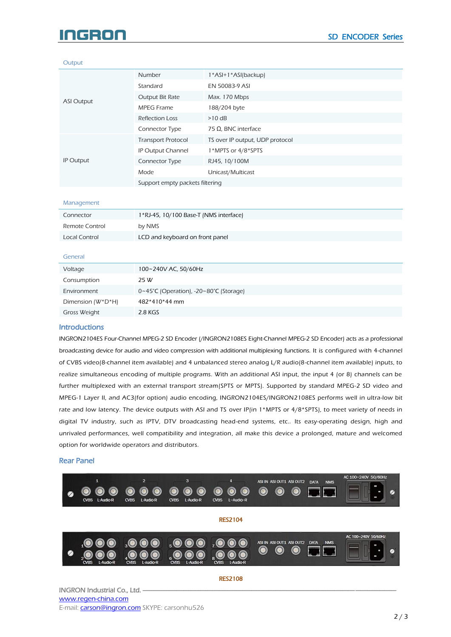# IGRON

#### **Output**

|                   | <b>Number</b>                   | 1*ASI+1*ASI(backup)             |
|-------------------|---------------------------------|---------------------------------|
| <b>ASI Output</b> | Standard                        | EN 50083-9 ASI                  |
|                   | Output Bit Rate                 | Max. 170 Mbps                   |
|                   | MPEG Frame                      | 188/204 byte                    |
|                   | <b>Reflection Loss</b>          | $>10$ dB                        |
|                   | Connector Type                  | 75 Ω, BNC interface             |
|                   | <b>Transport Protocol</b>       | TS over IP output, UDP protocol |
|                   | <b>IP Output Channel</b>        | 1*MPTS or 4/8*SPTS              |
| IP Output         | Connector Type                  | RJ45, 10/100M                   |
|                   | Mode                            | Unicast/Multicast               |
|                   | Support empty packets filtering |                                 |

#### Management

| Connector      | 1*RJ-45, 10/100 Base-T (NMS interface) |
|----------------|----------------------------------------|
| Remote Control | by NMS                                 |
| Local Control  | LCD and keyboard on front panel        |

#### General

#### **Introductions**

INGRON2104ES Four-Channel MPEG-2 SD Encoder (/INGRON2108ES Eight-Channel MPEG-2 SD Encoder) acts as a professional broadcasting device for audio and video compression with additional multiplexing functions. It is configured with 4-channel of CVBS video(8-channel item available) and 4 unbalanced stereo analog L/R audio(8-channel item available) inputs, to realize simultaneous encoding of multiple programs. With an additional ASI input, the input 4 (or 8) channels can be further multiplexed with an external transport stream(SPTS or MPTS). Supported by standard MPEG-2 SD video and MPEG-1 Layer II, and AC3(for option) audio encoding, INGRON2104ES/INGRON2108ES performs well in ultra-low bit rate and low latency. The device outputs with ASI and TS over IP(in 1\*MPTS or 4/8\*SPTS), to meet variety of needs in digital TV industry, such as IPTV, DTV broadcasting head-end systems, etc.. Its easy-operating design, high and unrivaled performances, well compatibility and integration, all make this device a prolonged, mature and welcomed option for worldwide operators and distributors.

#### Rear Panel



INGRON Industrial Co., Ltd. [www.regen-china.com](http://www.regen-china.com/) E-mail: **carson@ingron.com** SKYPE: carsonhu526